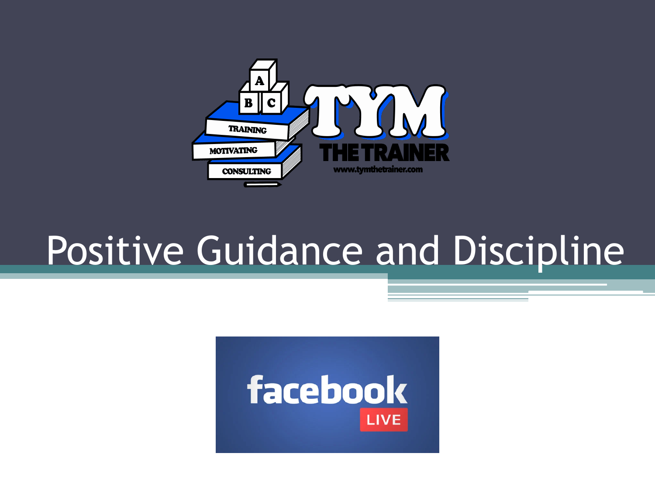

#### Positive Guidance and Discipline

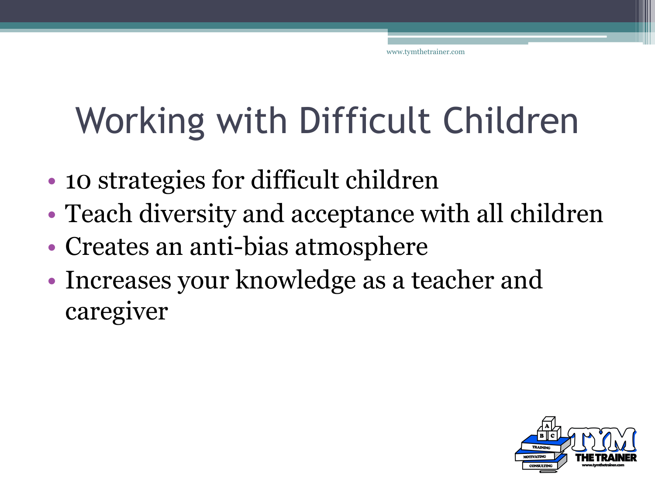### Working with Difficult Children

- 10 strategies for difficult children
- Teach diversity and acceptance with all children
- Creates an anti-bias atmosphere
- Increases your knowledge as a teacher and caregiver

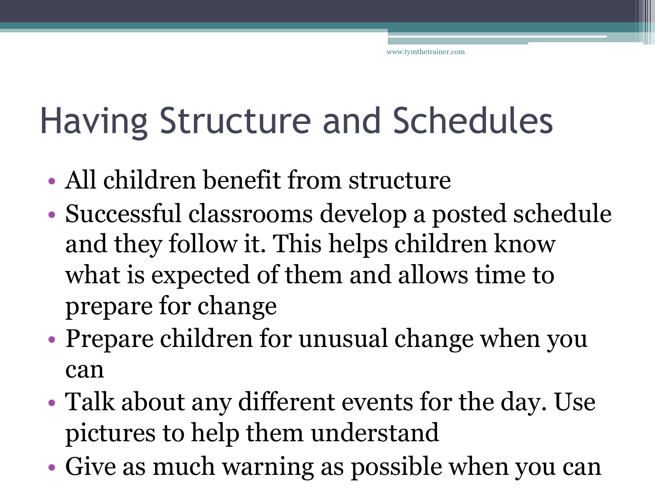#### Having Structure and Schedules

- All children benefit from structure
- Successful classrooms develop a posted schedule and they follow it. This helps children know what is expected of them and allows time to prepare for change
- Prepare children for unusual change when you can
- Talk about any different events for the day. Use pictures to help them understand
- Give as much warning as possible when you can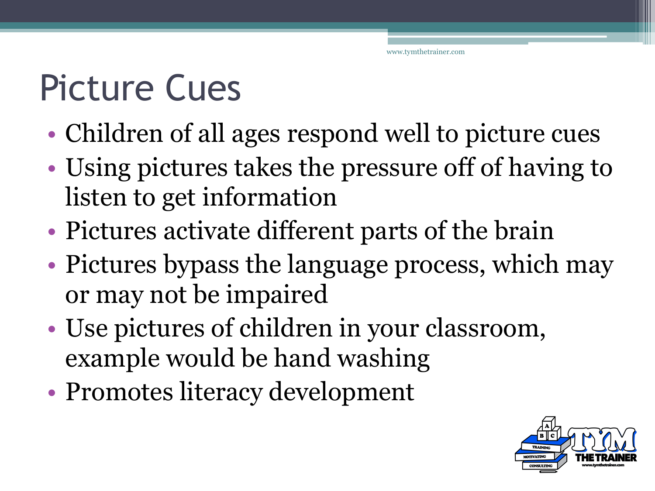## Picture Cues

- Children of all ages respond well to picture cues
- Using pictures takes the pressure off of having to listen to get information
- Pictures activate different parts of the brain
- Pictures bypass the language process, which may or may not be impaired
- Use pictures of children in your classroom, example would be hand washing
- Promotes literacy development

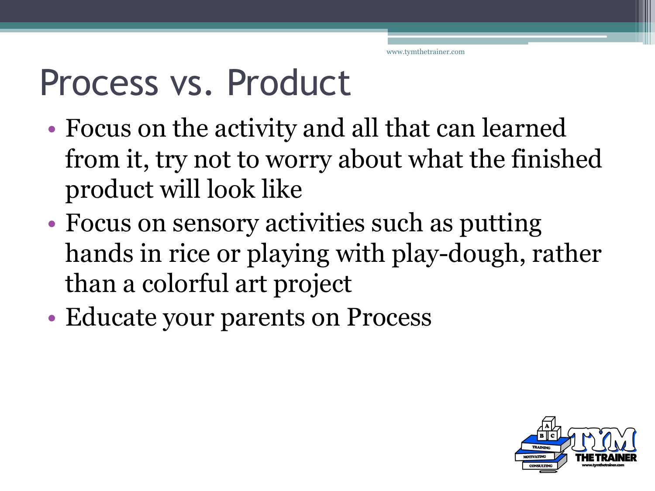#### Process vs. Product

- Focus on the activity and all that can learned from it, try not to worry about what the finished product will look like
- Focus on sensory activities such as putting hands in rice or playing with play-dough, rather than a colorful art project
- Educate your parents on Process

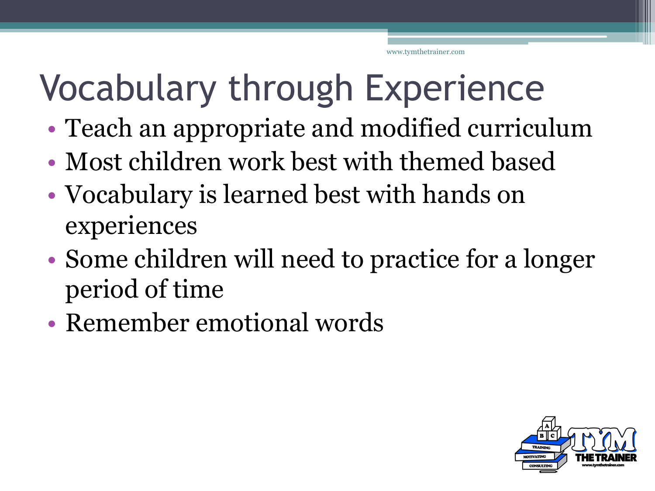#### Vocabulary through Experience

- Teach an appropriate and modified curriculum
- Most children work best with themed based
- Vocabulary is learned best with hands on experiences
- Some children will need to practice for a longer period of time
- Remember emotional words

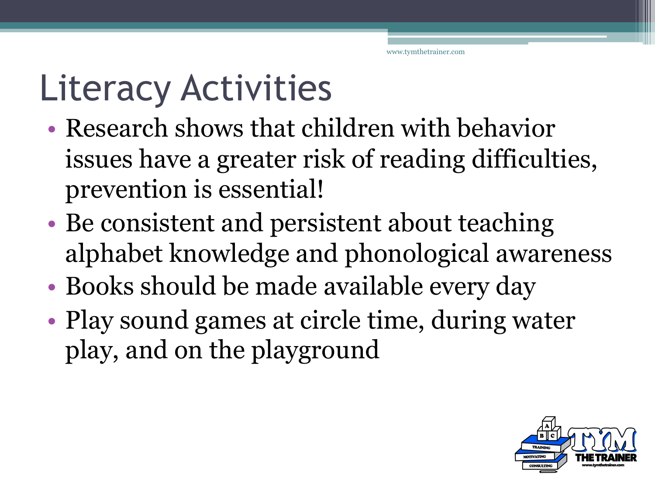## Literacy Activities

- Research shows that children with behavior issues have a greater risk of reading difficulties, prevention is essential!
- Be consistent and persistent about teaching alphabet knowledge and phonological awareness
- Books should be made available every day
- Play sound games at circle time, during water play, and on the playground

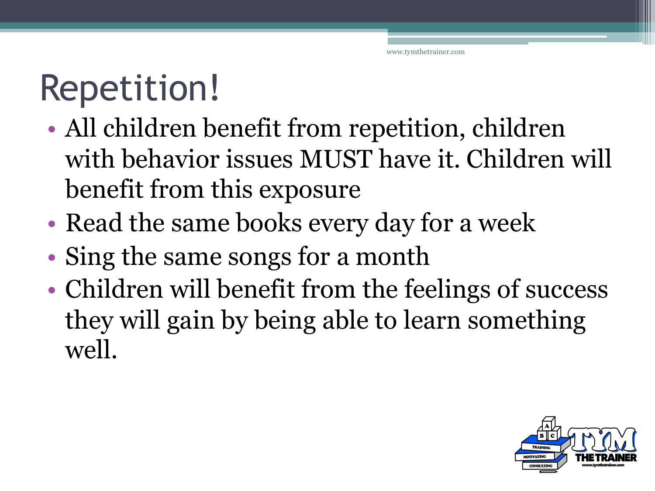# Repetition!

- All children benefit from repetition, children with behavior issues MUST have it. Children will benefit from this exposure
- Read the same books every day for a week
- Sing the same songs for a month
- Children will benefit from the feelings of success they will gain by being able to learn something well.

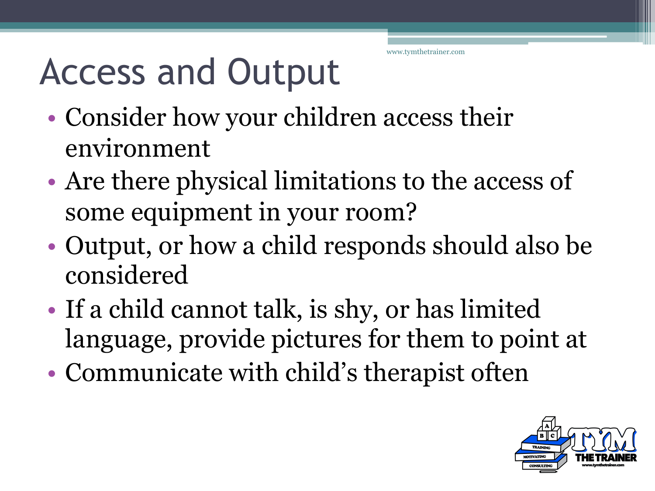#### Access and Output

- Consider how your children access their environment
- Are there physical limitations to the access of some equipment in your room?
- Output, or how a child responds should also be considered
- If a child cannot talk, is shy, or has limited language, provide pictures for them to point at
- Communicate with child's therapist often

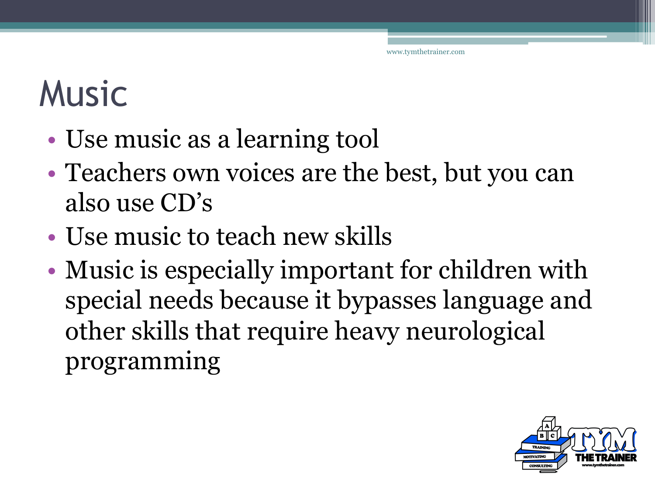## Music

- Use music as a learning tool
- Teachers own voices are the best, but you can also use CD's
- Use music to teach new skills
- Music is especially important for children with special needs because it bypasses language and other skills that require heavy neurological programming

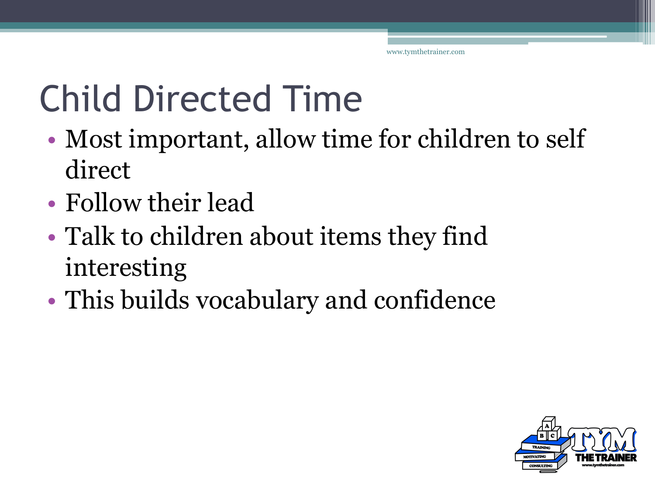## Child Directed Time

- Most important, allow time for children to self direct
- Follow their lead
- Talk to children about items they find interesting
- This builds vocabulary and confidence

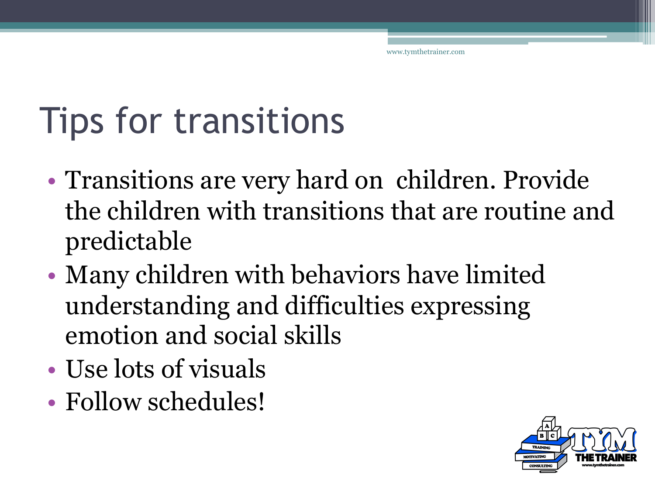#### Tips for transitions

- Transitions are very hard on children. Provide the children with transitions that are routine and predictable
- Many children with behaviors have limited understanding and difficulties expressing emotion and social skills
- Use lots of visuals
- Follow schedules!

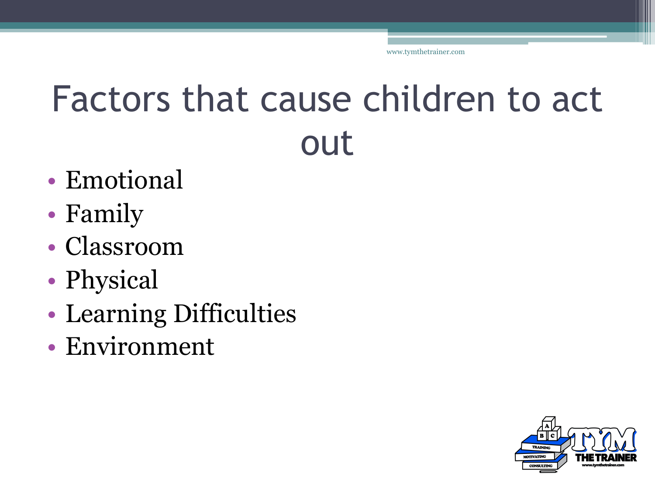#### Factors that cause children to act out

- Emotional
- Family
- Classroom
- Physical
- Learning Difficulties
- Environment

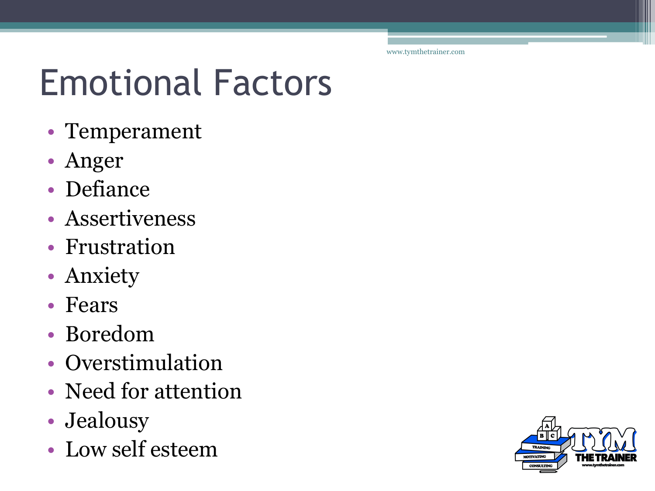## Emotional Factors

- Temperament
- Anger
- Defiance
- Assertiveness
- Frustration
- Anxiety
- Fears
- Boredom
- Overstimulation
- Need for attention
- Jealousy
- Low self esteem

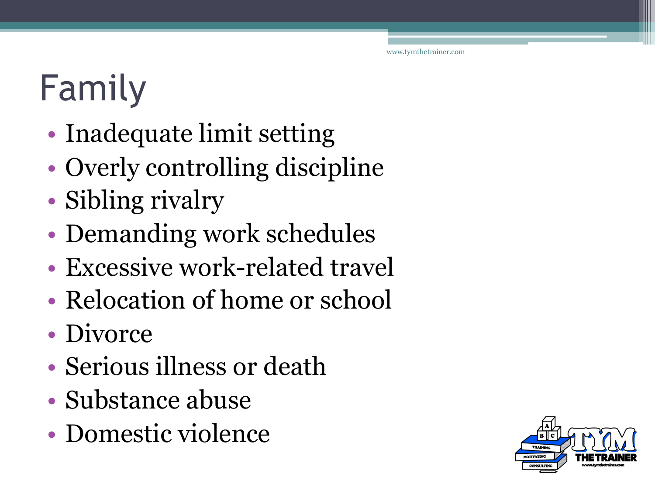# Family

- Inadequate limit setting
- Overly controlling discipline
- Sibling rivalry
- Demanding work schedules
- Excessive work-related travel
- Relocation of home or school
- Divorce
- Serious illness or death
- Substance abuse
- Domestic violence

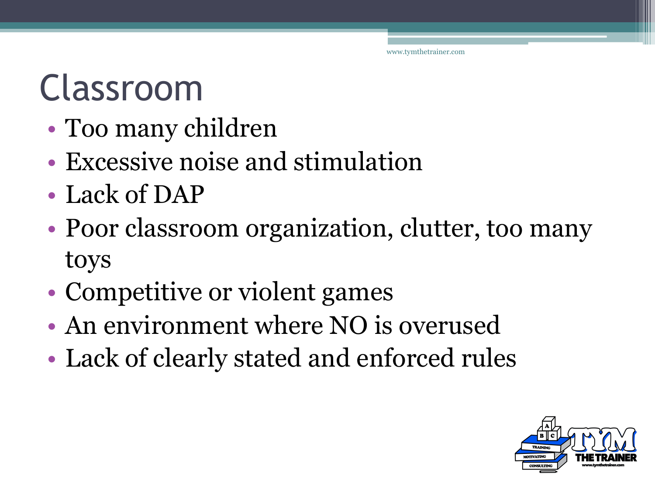#### Classroom

- Too many children
- Excessive noise and stimulation
- Lack of DAP
- Poor classroom organization, clutter, too many toys
- Competitive or violent games
- An environment where NO is overused
- Lack of clearly stated and enforced rules

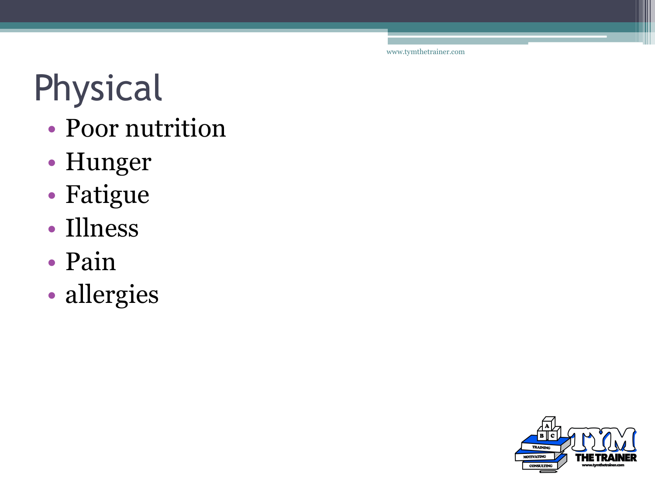# Physical

- Poor nutrition
- Hunger
- Fatigue
- Illness
- Pain
- allergies

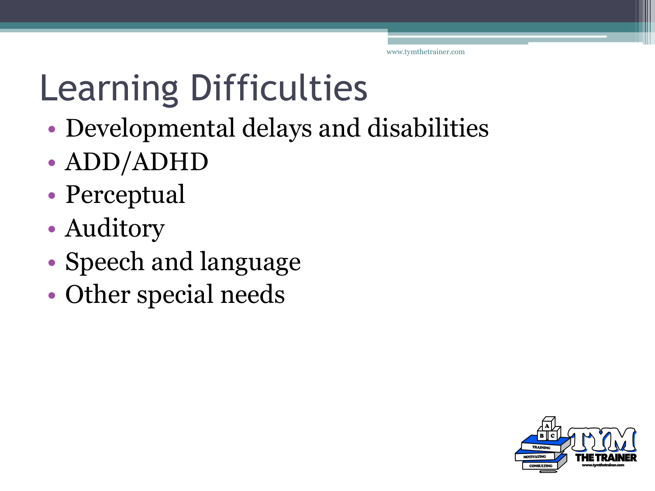# Learning Difficulties

- Developmental delays and disabilities
- ADD/ADHD
- Perceptual
- Auditory
- Speech and language
- Other special needs

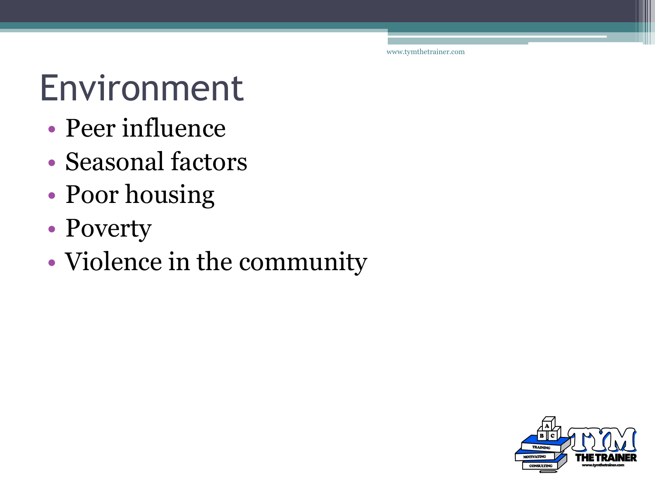## Environment

- Peer influence
- Seasonal factors
- Poor housing
- Poverty
- Violence in the community